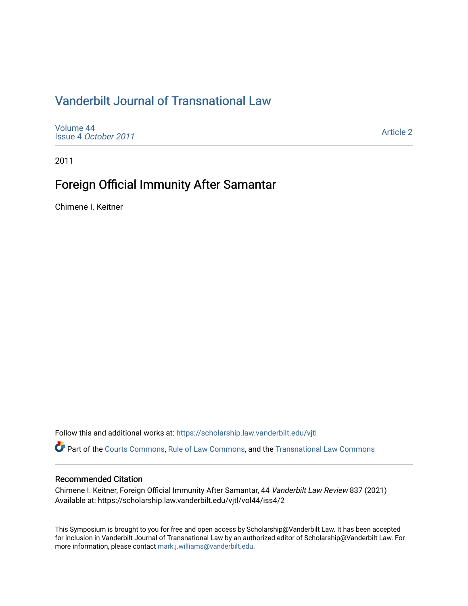# [Vanderbilt Journal of Transnational Law](https://scholarship.law.vanderbilt.edu/vjtl)

[Volume 44](https://scholarship.law.vanderbilt.edu/vjtl/vol44) Issue 4 [October 2011](https://scholarship.law.vanderbilt.edu/vjtl/vol44/iss4)

[Article 2](https://scholarship.law.vanderbilt.edu/vjtl/vol44/iss4/2) 

2011

# Foreign Official Immunity After Samantar

Chimene I. Keitner

Follow this and additional works at: [https://scholarship.law.vanderbilt.edu/vjtl](https://scholarship.law.vanderbilt.edu/vjtl?utm_source=scholarship.law.vanderbilt.edu%2Fvjtl%2Fvol44%2Fiss4%2F2&utm_medium=PDF&utm_campaign=PDFCoverPages) 

Part of the [Courts Commons,](http://network.bepress.com/hgg/discipline/839?utm_source=scholarship.law.vanderbilt.edu%2Fvjtl%2Fvol44%2Fiss4%2F2&utm_medium=PDF&utm_campaign=PDFCoverPages) [Rule of Law Commons](http://network.bepress.com/hgg/discipline/1122?utm_source=scholarship.law.vanderbilt.edu%2Fvjtl%2Fvol44%2Fiss4%2F2&utm_medium=PDF&utm_campaign=PDFCoverPages), and the [Transnational Law Commons](http://network.bepress.com/hgg/discipline/1123?utm_source=scholarship.law.vanderbilt.edu%2Fvjtl%2Fvol44%2Fiss4%2F2&utm_medium=PDF&utm_campaign=PDFCoverPages) 

## Recommended Citation

Chimene I. Keitner, Foreign Official Immunity After Samantar, 44 Vanderbilt Law Review 837 (2021) Available at: https://scholarship.law.vanderbilt.edu/vjtl/vol44/iss4/2

This Symposium is brought to you for free and open access by Scholarship@Vanderbilt Law. It has been accepted for inclusion in Vanderbilt Journal of Transnational Law by an authorized editor of Scholarship@Vanderbilt Law. For more information, please contact [mark.j.williams@vanderbilt.edu](mailto:mark.j.williams@vanderbilt.edu).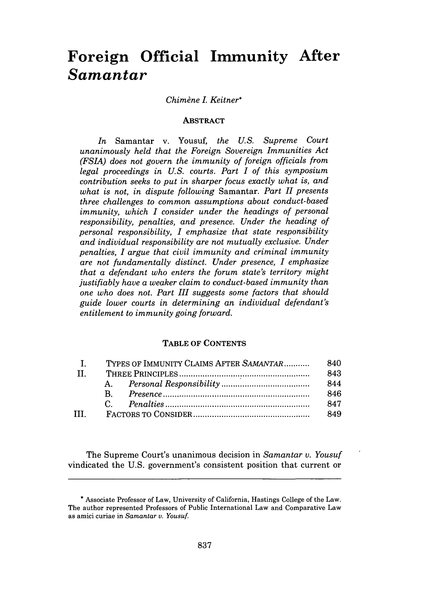# **Foreign Official Immunity After** *Samantar*

### *Chimdne L Keitner\**

#### **ABSTRACT**

*In* Samantar v. Yousuf, *the U.S. Supreme Court unanimously held that the Foreign Sovereign Immunities Act (FSLA) does not govern the immunity of foreign officials from legal proceedings in U.S. courts. Part I of this symposium contribution seeks to put in sharper focus exactly what is, and what is not, in dispute following* Samantar. *Part H1 presents three challenges to common assumptions about conduct-based immunity, which I consider under the headings of personal responsibility, penalties, and presence. Under the heading of personal responsibility, I emphasize that state responsibility and individual responsibility are not mutually exclusive. Under penalties, I argue that civil immunity and criminal immunity are not fundamentally distinct. Under presence, I emphasize that a defendant who enters the forum state's territory might justifiably have a weaker claim to conduct-based immunity than one who does not. Part III suggests some factors that should guide lower courts in determining an individual defendant's entitlement to immunity going forward.*

## **TABLE OF CONTENTS**

|       | TYPES OF IMMUNITY CLAIMS AFTER SAMANTAR |  | 840 |
|-------|-----------------------------------------|--|-----|
| -11.  |                                         |  | 843 |
|       | $A_{1}$                                 |  | 844 |
|       | - B. -                                  |  | 846 |
|       | $C =$                                   |  | 847 |
| TTT - |                                         |  | 849 |

The Supreme Court's unanimous decision in *Samantar v. Yousuf* vindicated the **U.S.** government's consistent position that current or

**<sup>\*</sup>** Associate Professor of Law, University of California, Hastings College of the Law. The author represented Professors of Public International Law and Comparative Law as amici curiae in *Samantar v. Yousuf.*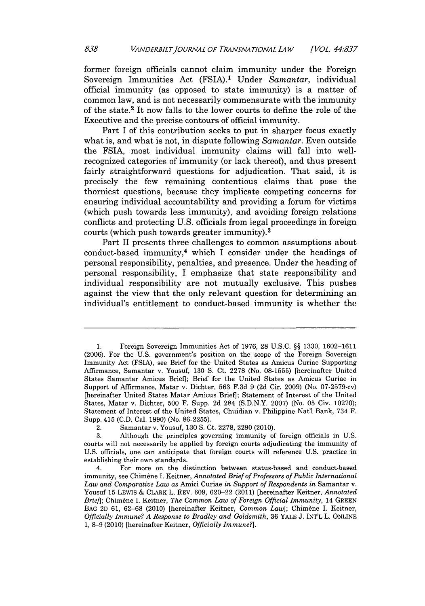former foreign officials cannot claim immunity under the Foreign Sovereign Immunities Act **(FSIA).1** Under *Samantar,* individual official immunity (as opposed to state immunity) is a matter of common law, and is not necessarily commensurate with the immunity of the state.2 It now falls to the lower courts to define the role of the Executive and the precise contours of official immunity.

Part I of this contribution seeks to put in sharper focus exactly what is, and what is not, in dispute following *Samantar.* Even outside the FSIA, most individual immunity claims will fall into wellrecognized categories of immunity (or lack thereof), and thus present fairly straightforward questions for adjudication. That said, it **is** precisely the few remaining contentious claims that pose the thorniest questions, because they implicate competing concerns for ensuring individual accountability and providing a forum for victims (which push towards less immunity), and avoiding foreign relations conflicts and protecting **U.S.** officials from legal proceedings in foreign courts (which push towards greater immunity).3

Part II presents three challenges to common assumptions about conduct-based immunity,4 which I consider under the headings of personal responsibility, penalties, and presence. Under the heading of personal responsibility, **I** emphasize that state responsibility and individual responsibility are not mutually exclusive. This pushes against the view that the only relevant question for determining an individual's entitlement to conduct-based immunity is whether the

**<sup>1.</sup>** Foreign Sovereign Immunities Act of **1976, 28 U.S.C. §§ 1330, 1602-1611 (2006).** For the **U.S.** government's position on the scope of the Foreign Sovereign Immunity Act **(FSIA),** see Brief for the United States as Amicus Curiae Supporting Affirmance, Samantar v. Yousuf, **130 S.** Ct. **2278** (No. **08-1555)** [hereinafter United States Samantar Amicus Brief]; Brief for the United States as Amicus Curiae in Support of Affirmance, Matar v. Dichter, **563 F.3d 9 (2d** Cir. **2009)** (No. 07-2579-cv) [hereinafter United States Matar Amicus Brief]; Statement of Interest of the United States, Matar v. Dichter, **500** F. Supp. **2d** 284 **(S.D.N.Y. 2007)** (No. **05** Civ. **10270);** Statement of Interest of the United States, Chuidian v. Philippine Nat'i Bank, 734 F. Supp. 415 **(C.D.** Cal. **1990)** (No. **86-2255).**

<sup>2.</sup> Samantar v. Yousuf, **130 S.** Ct. **2278, 2290** (2010).

**<sup>3.</sup>** Although the principles governing immunity of foreign officials in **U.S.** courts will not necessarily be applied **by** foreign courts adjudicating the immunity of **U.S.** officials, one can anticipate that foreign courts will reference **U.S.** practice in establishing their own standards.

<sup>4.</sup> For more on the distinction between status-based and conduct-based immunity, see Chimbne **I.** Keitner, *Annotated Brief of Professors of Public International Law and Comparative Law as* Amici Curiae *in Support of Respondents in* Samantar v. Yousuf **15** LEWIS *&* CLARK L. REV. **609, 620-22** (2011) [hereinafter Keitner, *Annotated Brie/];* Chim&ne I. Keitner, *The Common Law of Foreign Official Immunity,* 14 **GREEN** BAG 2D 61, 62-68 (2010) [hereinafter Keitner, Common Law]; Chimène I. Keitner, *Officially Immune? A Response to Bradley and Goldsmith,* **36** YALE **J. INT'L** L. **ONLINE 1, 8-9** (2010) [hereinafter Keitner, *Officially Immune?].*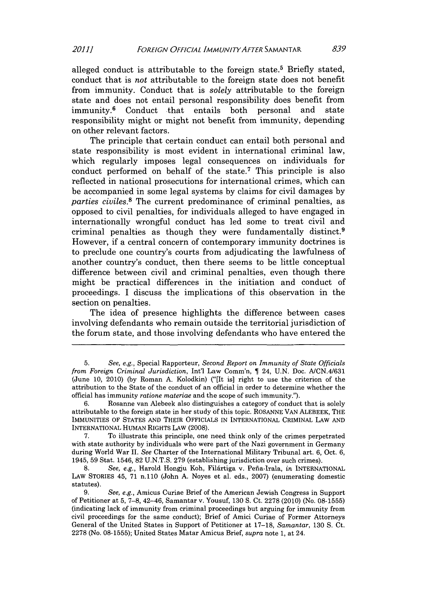alleged conduct is attributable to the foreign state.5 Briefly stated, conduct that is *not* attributable to the foreign state does not benefit from immunity. Conduct that is *solely* attributable to the foreign state and does not entail personal responsibility does benefit from immunity.6 Conduct that entails both personal and state responsibility might or might not benefit from immunity, depending on other relevant factors.

The principle that certain conduct can entail both personal and state responsibility is most evident in international criminal law, which regularly imposes legal consequences on individuals for conduct performed on behalf of the state.7 This principle is also reflected in national prosecutions for international crimes, which can be accompanied in some legal systems **by** claims for civil damages **by** *parties civiles.8* The current predominance of criminal penalties, as opposed to civil penalties, for individuals alleged to have engaged in internationally wrongful conduct has led some to treat civil and criminal penalties as though they were fundamentally distinct.9 However, if a central concern of contemporary immunity doctrines is to preclude one country's courts from adjudicating the lawfulness of another country's conduct, then there seems to be little conceptual difference between civil and criminal penalties, even though there might be practical differences in the initiation and conduct of proceedings. **I** discuss the implications of this observation in the section on penalties.

The idea of presence highlights the difference between cases involving defendants who remain outside the territorial jurisdiction of the forum state, and those involving defendants who have entered the

*<sup>5.</sup> See, e.g.,* Special Rapporteur, *Second Report on Immunity of State Officials from Foreign Criminal Jurisdiction,* Int'l Law Comm'n, **1** 24, **U.N.** Doc. *A/CN.4/631* (June **10,** 2010) **(by** Roman **A.** Kolodkin) ("[It is] right to use the criterion of the attribution to the State of the conduct of an official in order to determine whether the official has immunity *ratione materiae* and the scope of such immunity.").

**<sup>6.</sup>** Rosanne van Alebeek also distinguishes a category of conduct that is solely attributable to the foreign state in her study of this topic. **ROSANNE VAN** ALEBEEK, THE IMMUNITIES OF **STATES AND** THEIR **OFFICIALS IN** INTERNATIONAL CRIMINAL LAW **AND INTERNATIONAL** HUMAN RIGHTS LAW **(2008).**

**<sup>7.</sup>** To illustrate this principle, one need think only of the crimes perpetrated with state authority **by** individuals who were part of the Nazi government in Germany during World War **II.** *See* Charter of the International Military Tribunal art. **6,** Oct. **6,** 1945, **59** Stat. 1546, **82 U.N.T.S. 279** (establishing jurisdiction over such crimes).

**<sup>8.</sup>** *See, e.g.,* Harold Hongju Koh, Fildrtiga v. Pefia-Irala, *in* **INTERNATIONAL** LAw STORIES 45, **71** n.110 (John **A.** Noyes et al. eds., **2007)** (enumerating domestic statutes).

**<sup>9.</sup>** *See, e.g.,* Amicus Curiae Brief of the American Jewish Congress in Support of Petitioner at **5, 7-8,** 42-46, Samantar v. Yousuf, **130 S.** Ct. **2278** (2010) (No. **08-1555)** (indicating lack of immunity from criminal proceedings but arguing for immunity from civil proceedings for the same conduct); Brief of Amici Curiae of Former Attorneys General of the United States in Support of Petitioner at **17-18,** *Samantar,* **130 S.** Ct. **2278** (No. **08-1555);** United States Matar Amicus Brief, *supra* note **1,** at 24.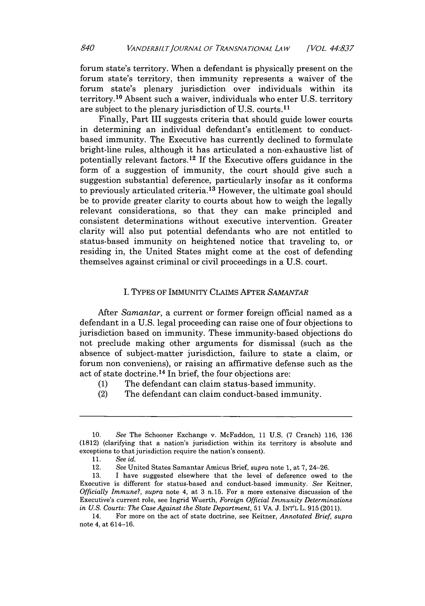forum state's territory. When a defendant is physically present on the forum state's territory, then immunity represents a waiver of the forum state's plenary jurisdiction over individuals within its territory.<sup>10</sup> Absent such a waiver, individuals who enter U.S. territory are subject to the plenary jurisdiction of U.S. courts.<sup>11</sup>

Finally, Part III suggests criteria that should guide lower courts in determining an individual defendant's entitlement to conductbased immunity. The Executive has currently declined to formulate bright-line rules, although it has articulated a non-exhaustive list of potentially relevant factors.12 **If** the Executive offers guidance in the form of a suggestion of immunity, the court should give such a suggestion substantial deference, particularly insofar as it conforms to previously articulated criteria.1a However, the ultimate goal should be to provide greater clarity to courts about how to weigh the legally relevant considerations, so that they can make principled and consistent determinations without executive intervention. Greater clarity will also put potential defendants who are not entitled to status-based immunity on heightened notice that traveling to, or residing in, the United States might come at the cost of defending themselves against criminal or civil proceedings in a **U.S.** court.

## **1.** TYPES OF **IMMUNITY** CLAIMS AFTER *SAMANTAR*

After *Samantar,* a current or former foreign official named as a defendant in a **U.S.** legal proceeding can raise one of four objections to jurisdiction based on immunity. These immunity-based objections do not preclude making other arguments for dismissal (such as the absence of subject-matter jurisdiction, failure to state a claim, or forum non conveniens), or raising an affirmative defense such as the act of state doctrine.14 In brief, the four objections are:

- **(1)** The defendant can claim status-based immunity.
- (2) The defendant can claim conduct-based immunity.

**<sup>10.</sup>** *See* The Schooner Exchange v. McFaddon, **11 U.S. (7** Cranch) **116, 136 (1812)** (clarifying that a nation's jurisdiction within its territory is absolute and exceptions to that jurisdiction require the nation's consent).

**<sup>11.</sup>** *See id.*

<sup>12.</sup> See United States Samantar Amicus Brief, *supra* note **1,** at **7,** 24-26.

**<sup>13.</sup>** I have suggested elsewhere that the level of deference owed to the Executive is different for status-based and conduct-based immunity. *See* Keitner, *Officially Immune?, supra* note 4, at **3** n.15. For a more extensive discussion of the Executive's current role, see Ingrid Wuerth, *Foreign Official Immunity Determinations in U.S. Courts: The Case Against the State Department,* **51** VA. **J. INT'L** L. **915 (2011).**

<sup>14.</sup> For more on the act of state doctrine, see Keitner, *Annotated Brief, supra* note 4, at 614-16.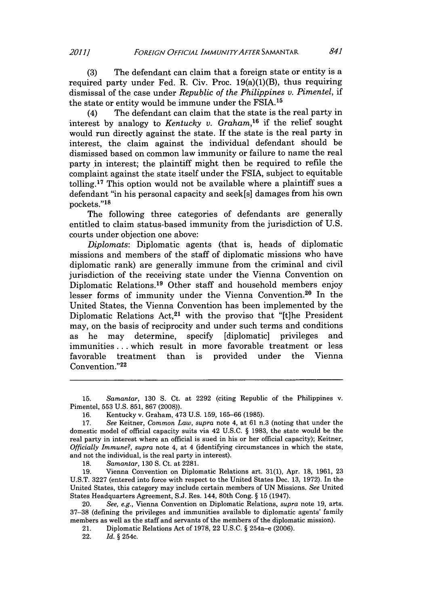**(3)** The defendant can claim that a foreign state or entity is a required party under Fed. R. Civ. Proc.  $19(a)(1)(B)$ , thus requiring dismissal of the case under *Republic of the Philippines v. Pimentel,* if the state or entity would be immune under the FSIA.'<sup>5</sup>

(4) The defendant can claim that the state is the real party in interest **by** analogy to *Kentucky v. Graham,16* if the relief sought would run directly against the state. **If** the state is the real party in interest, the claim against the individual defendant should be dismissed based on common law immunity or failure to name the real party in interest; the plaintiff might then be required to refile the complaint against the state itself under the FSIA, subject to equitable tolling.17 This option would not be available where a plaintiff sues a defendant "in his personal capacity and seek[s] damages from his own pockets."<sup>18</sup>

The following three categories of defendants are generally entitled to claim status-based immunity from the jurisdiction of **U.S.** courts under objection one above:

*Diplomats:* Diplomatic agents (that is, heads of diplomatic missions and members of the staff of diplomatic missions who have diplomatic rank) are generally immune from the criminal and civil jurisdiction of the receiving state under the Vienna Convention on Diplomatic Relations.19 Other staff and household members enjoy lesser forms of immunity under the Vienna Convention.20 In the United States, the Vienna Convention has been implemented **by** the Diplomatic Relations Act,<sup>21</sup> with the proviso that "[t]he President may, on the basis of reciprocity and under such terms and conditions as he may determine, specify [diplomatic] privileges and immunities **.** . **.** which result in more favorable treatment or less favorable treatment than is provided under the Vienna Convention."22

**18.** *Samantar*, **130 S. Ct. at 2281.**<br>**19.** Vienna Convention on Diplor

**19.** Vienna Convention on Diplomatic Relations art. **31(1),** Apr. **18, 1961, 23 U.S.T. 3227** (entered into force with respect to the United States Dec. **13, 1972).** In the United States, this category may include certain members of **UN** Missions. *See* United States Headquarters Agreement, **S.J.** Res. 144, 80th Cong. **§ 15** (1947).

20. *See, e.g.,* Vienna Convention on Diplomatic Relations, *supra* note **19,** arts. **37-38** (defining the privileges and immunities available to diplomatic agents' family members as well as the staff and servants of the members of the diplomatic mission).

21. Diplomatic Relations Act of **1978,** 22 **U.S.C. §** 254a-e **(2006).**

22. *Id.* **§** 254c.

**<sup>15.</sup>** *Samantar,* **130 S.** Ct. at **2292** (citing Republic of the Philippines v. Pimentel, **553 U.S. 851, 867 (2008)).**

**<sup>16.</sup>** Kentucky **v.** Graham, 473 **U.S. 159, 165-66 (1985).**

**<sup>17.</sup>** *See* Keitner, *Common Law, supra* note 4, at **61** n.3 (noting that under the domestic model of official capacity suits via 42 **U.S.C. § 1983,** the state would be the real party in interest where an official is sued in his or her official capacity); Keitner, *Officially Immune?, supra* note 4, at 4 (identifying circumstances in which the state, and not the individual, is the real party in interest).<br>18. Samantar, 130 S. Ct. at 2281.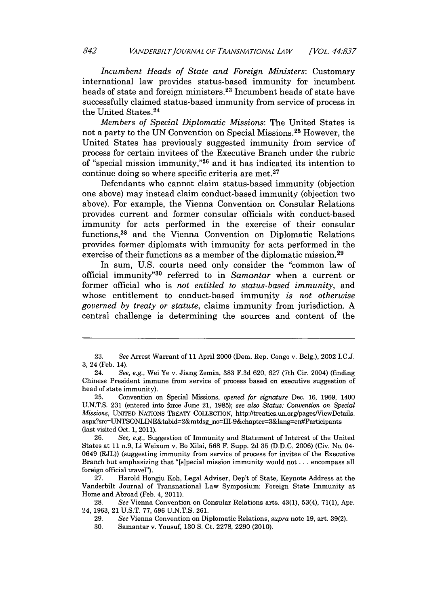*Incumbent Heads of State and Foreign Ministers:* Customary international law provides status-based immunity for incumbent heads of state and foreign ministers.23 Incumbent heads of state have successfully claimed status-based immunity from service of process in the United States. <sup>24</sup>

*Members of Special Diplomatic Missions:* The United States is not a party to the **UN** Convention on Special Missions.25 However, the United States has previously suggested immunity from service of process for certain invitees of the Executive Branch under the rubric of "special mission immunity,"26 and it has indicated its intention to continue doing so where specific criteria are met.<sup>27</sup>

Defendants who cannot claim status-based immunity (objection one above) may instead claim conduct-based immunity (objection two above). For example, the Vienna Convention on Consular Relations provides current and former consular officials with conduct-based immunity for acts performed in the exercise of their consular functions, 28 and the Vienna Convention on Diplomatic Relations provides former diplomats with immunity for acts performed in the exercise of their functions as a member of the diplomatic mission.<sup>29</sup>

In sum, **U.S.** courts need only consider the "common law of official immunity"30 referred to in *Samantar* when a current or former official who is *not entitled to status-based immunity,* and whose entitlement to conduct-based immunity *is not otherwise governed by treaty or statute,* claims immunity from jurisdiction. **A** central challenge is determining the sources and content of the

**<sup>23.</sup>** *See* Arrest Warrant of **11** April 2000 (Dem. Rep. Congo v. Belg.), 2002 I.C.J. **3,** 24 (Feb. 14).

<sup>24.</sup> See, e.g., Wei Ye v. Jiang Zemin, **383 F.3d 620, 627** (7th Cir. 2004) (finding Chinese President immune from service of process based on executive suggestion of head of state immunity).

**<sup>25.</sup>** Convention on Special Missions, *opened for signature* Dec. **16, 1969,** 1400 **U.N.T.S. 231** (entered into force June 21, **1985);** *see also Status: Convention on Special Missions,* UNITED NATIONS TREATY **COLLECTION,** http://treaties.un.org/pagesViewDetails. aspx?src=UNTSONLINE&tabid=2&mtdsg\_no=III-9&chapter=3&lang=en#Participants (last visited Oct. **1,** 2011).

**<sup>26.</sup>** *See, e.g.,* Suggestion of Immunity and Statement of Interest of the United States at **11** n.9, Li Weixum v. Bo Xilai, **568** F. Supp. **2d 35 (D.D.C. 2006)** (Civ. No. 04- 0649 (RJL)) (suggesting immunity from service of process for invitee of the Executive Branch but emphasizing that "[s]pecial mission immunity would not **...** encompass all foreign official travel").

**<sup>27.</sup>** Harold Hongju Koh, Legal Adviser, Dep't of State, Keynote Address at the Vanderbilt Journal of Transnational Law Symposium: Foreign State Immunity at Home and Abroad (Feb. 4, **2011).**

**<sup>28.</sup>** *See* Vienna Convention on Consular Relations arts. 43(1), 53(4), **71(1),** Apr. 24, **1963,** 21 **U.S.T. 77, 596 U.N.T.S. 261.**

**<sup>29.</sup>** *See* Vienna Convention on Diplomatic Relations, *supra* note **19,** art. **39(2).**

**<sup>30.</sup>** Samantar v. Yousuf, **130 S.** Ct. **2278, 2290** (2010).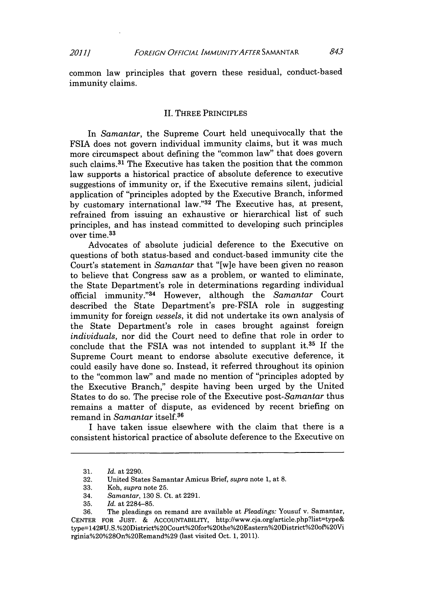common law principles that govern these residual, conduct-based immunity claims.

#### II. THREE PRINCIPLES

In *Samantar,* the Supreme Court held unequivocally that the **FSIA** does not govern individual immunity claims, but it was much more circumspect about defining the "common law" that does govern such claims.<sup>31</sup> The Executive has taken the position that the common law supports a historical practice of absolute deference to executive suggestions of immunity or, if the Executive remains silent, judicial application of "principles adopted **by** the Executive Branch, informed **by** customary international law."32 The Executive has, at present, refrained from issuing an exhaustive or hierarchical list of such principles, and has instead committed to developing such principles over time.<sup>33</sup>

Advocates of absolute judicial deference to the Executive on questions of both status-based and conduct-based immunity cite the Court's statement in *Samantar* that "[w]e have been given no reason to believe that Congress saw as a problem, or wanted to eliminate, the State Department's role in determinations regarding individual official immunity."<sup>34</sup> However, although the *Samantar* Court described the State Department's pre-FSIA role in suggesting immunity for foreign *vessels,* it did not undertake its own analysis of the State Department's role in cases brought against foreign *individuals,* nor did the Court need to define that role in order to conclude that the FSIA was not intended to supplant it.<sup>35</sup> If the Supreme Court meant to endorse absolute executive deference, it could easily have done so. Instead, it referred throughout its opinion to the "common law" and made no mention of "principles adopted **by** the Executive Branch," despite having been urged **by** the United States to do so. The precise role of the Executive *post-Samantar* thus remains a matter of dispute, as evidenced **by** recent briefing on remand in *Samantar* itself.36

I have taken issue elsewhere with the claim that there is a consistent historical practice of absolute deference to the Executive on

**<sup>31.</sup>** *Id.* at **2290.**

**<sup>32.</sup>** United States Samantar Amicus Brief, *supra* note **1,** at **8.**

**<sup>33.</sup>** Koh, *supra* note **25.**

<sup>34.</sup> *Samantar,* **130 S.** Ct. at **2291.**

**<sup>35.</sup>** *Id.* at **2284-85.**

**<sup>36.</sup>** The pleadings on remand are available at *Pleadings:* Yousuf v. Samantar, **CENTER** FOR **JUST. &** ACCOUNTABILITY, http://www.cja.org/article.php?list=type& type=142#U.S.%20District%20Court%20for%20the%20Eastern%2District%200f%20Vi rginia%20%280n%20Remand%29 (last visited Oct. **1,** 2011).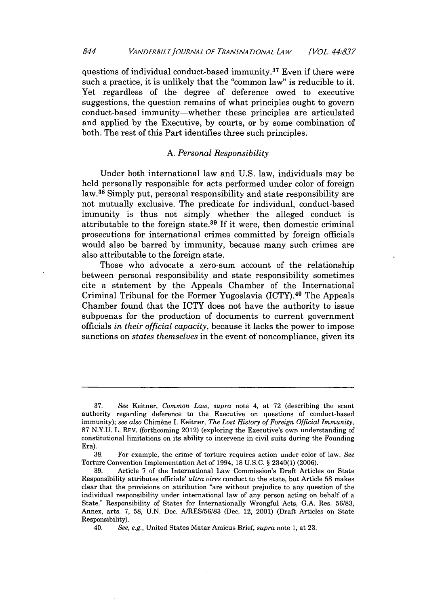questions of individual conduct-based immunity.37 Even if there were such a practice, it is unlikely that the "common law" is reducible to it. Yet regardless of the degree of deference owed to executive suggestions, the question remains of what principles ought to govern conduct-based immunity-whether these principles are articulated and applied **by** the Executive, **by** courts, or **by** some combination of both. The rest of this Part identifies three such principles.

## **A.** *Personal Responsibility*

Under both international law and **U.S.** law, individuals may be held personally responsible for acts performed under color of foreign law.<sup>38</sup> Simply put, personal responsibility and state responsibility are not mutually exclusive. The predicate for individual, conduct-based immunity is thus not simply whether the alleged conduct is attributable to the foreign state. <sup>39</sup>**If** it were, then domestic criminal prosecutions for international crimes committed **by** foreign officials would also be barred **by** immunity, because many such crimes are also attributable to the foreign state.

Those who advocate a zero-sum account of the relationship between personal responsibility and state responsibility sometimes cite a statement **by** the Appeals Chamber of the International Criminal Tribunal for the Former Yugoslavia (ICTY).40 The Appeals Chamber found that the ICTY does not have the authority to issue subpoenas for the production of documents to current government officials *in their official capacity,* because it lacks the power to impose sanctions on *states themselves* in the event of noncompliance, given its

**<sup>37.</sup>** *See* Keitner, *Common Law, supra* note 4, at **72** (describing the scant authority regarding deference to the Executive on questions of conduct-based immunity); *see also* Chimbne **I.** Keitner, *The Lost History of Foreign Official Immunity,* **87 N.Y.U.** L. REV. (forthcoming 2012) (exploring the Executive's own understanding of constitutional limitations on its ability to intervene in civil suits during the Founding Era).

**<sup>38.</sup>** For example, the crime of torture requires action under color of law. *See* Torture Convention Implementation Act of 1994, **18 U.S.C.** *§* 2340(1) **(2006).**

**<sup>39.</sup>** Article **7** of the International Law Commission's Draft Articles on State Responsibility attributes officials' *ultra vires* conduct to the state, but Article **58** makes clear that the provisions on attribution "are without prejudice to any question of the individual responsibility under international law of any person acting on behalf of a State." Responsibility of States for Internationally Wrongful Acts, **G.A.** Res. **56/83,** Annex, arts. **7, 58, U.N.** Doc. **A/RES/56/83** (Dec. 12, 2001) (Draft Articles on State Responsibility).

<sup>40.</sup> *See, e.g.,* United States Matar Amicus Brief, *supra* note **1,** at **23.**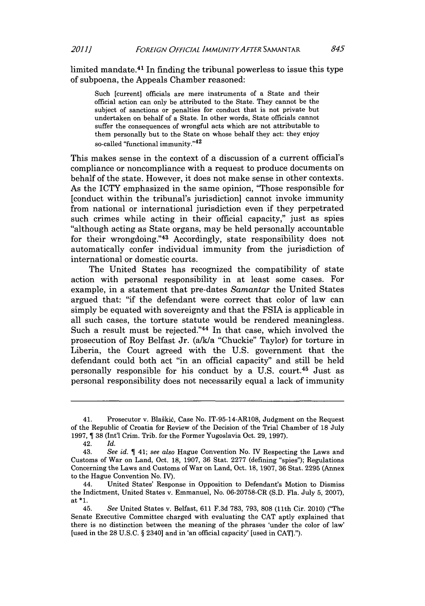limited mandate.41 In finding the tribunal powerless to issue this type of subpoena, the Appeals Chamber reasoned:

Such [current] officials are mere instruments of a State and their official action can only be attributed to the State. They cannot be the subject of sanctions or penalties for conduct that is not private but undertaken on behalf of a State. In other words, State officials cannot suffer the consequences of wrongful acts which are not attributable to them personally but to the State on whose behalf they act: they enjoy so-called "functional immunity."42

This makes sense in the context of a discussion of a current official's compliance or noncompliance with a request to produce documents on behalf of the state. However, it does not make sense in other contexts. As the ICTY emphasized in the same opinion, "Those responsible for [conduct within the tribunal's jurisdiction] cannot invoke immunity from national or international jurisdiction even if they perpetrated such crimes while acting in their official capacity," just as spies "although acting as State organs, may be held personally accountable for their wrongdoing."<sup>43</sup> Accordingly, state responsibility does not automatically confer individual immunity from the jurisdiction of international or domestic courts.

The United States has recognized the compatibility of state action with personal responsibility in at least some cases. For example, in a statement that pre-dates *Samantar* the United States argued that: "if the defendant were correct that color of law can simply be equated with sovereignty and that the FSIA is applicable in all such cases, the torture statute would be rendered meaningless. Such a result must be rejected."44 In that case, which involved the prosecution of Roy Belfast Jr. (a/k/a "Chuckie" Taylor) for torture in Liberia, the Court agreed with the **U.S.** government that the defendant could both act "in an official capacity" and still be held personally responsible for his conduct **by** a **U.S.** court.45 Just as personal responsibility does not necessarily equal a lack of immunity

<sup>41.</sup> Prosecutor v. Blaškić, Case No. IT-95-14-AR108, Judgment on the Request of the Republic of Croatia for Review of the Decision of the Trial Chamber of **18** July **1997, 38** (Int'l Crim. Trib. for the Former Yugoslavia Oct. **29, 1997).**

<sup>42.</sup> *Id.*

<sup>43.</sup> *See id. 41; see also* Hague Convention No. IV Respecting the Laws and Customs of War on Land, Oct. **18, 1907, 36** Stat. **2277** (defining "spies"); Regulations Concerning the Laws and Customs of War on Land, Oct. **18, 1907, 36** Stat. **2295** (Annex to the Hague Convention No. IV).

<sup>44.</sup> United States' Response in Opposition to Defendant's Motion to Dismiss the Indictment, United States v. Emmanuel, No. **06-20758-CR (S.D.** Fla. July **5, 2007),** at  $*1$ .<br>45.

<sup>45.</sup> *See* United States v. Belfast, **611 F.3d 783, 793, 808** (11th Cir. 2010) ("The Senate Executive Committee charged with evaluating the **CAT** aptly explained that there is no distinction between the meaning of the phrases 'under the color of law' [used in the **28 U.S.C.** *§* 2340] and in 'an official capacity' [used in **CAT].").**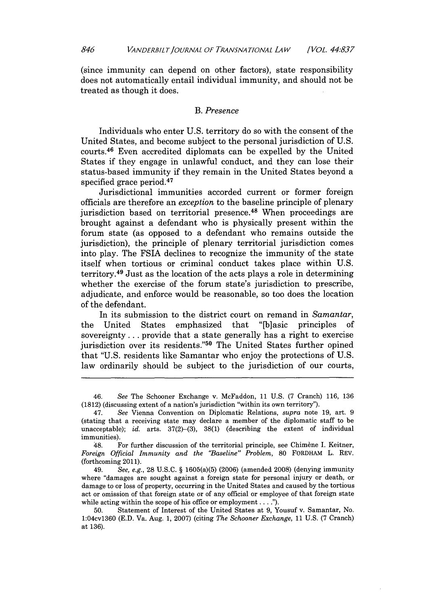(since immunity can depend on other factors), state responsibility does not automatically entail individual immunity, and should not be treated as though it does.

#### *B. Presence*

Individuals who enter **U.S.** territory do so with the consent of the United States, and become subject to the personal jurisdiction of **U.S.** courts. 46 Even accredited diplomats can be expelled **by** the United States if they engage in unlawful conduct, and they can lose their status-based immunity if they remain in the United States beyond a specified grace period.<sup>47</sup>

Jurisdictional immunities accorded current or former foreign officials are therefore an *exception* to the baseline principle of plenary jurisdiction based on territorial presence.<sup>48</sup> When proceedings are brought against a defendant who is physically present within the forum state (as opposed to a defendant who remains outside the jurisdiction), the principle of plenary territorial jurisdiction comes into play. The FSIA declines to recognize the immunity of the state itself when tortious or criminal conduct takes place within **U.S.** territory. 49 Just as the location of the acts plays a role in determining whether the exercise of the forum state's jurisdiction to prescribe, adjudicate, and enforce would be reasonable, so too does the location of the defendant.

In its submission to the district court on remand in *Samantar,* the United States emphasized that "[b]asic principles of sovereignty **...** provide that a state generally has a right to exercise jurisdiction over its residents."50 The United States further opined that **"U.S.** residents like Samantar who enjoy the protections of **U.S.** law ordinarily should be subject to the jurisdiction of our courts,

<sup>46.</sup> *See* The Schooner Exchange v. McFaddon, **11 U.S. (7** Cranch) **116, 136 (1812)** (discussing extent of a nation's jurisdiction "within its own territory").

<sup>47.</sup> *See* Vienna Convention on Diplomatic Relations, *supra* note **19, art.** *9* (stating that a receiving state may declare a member of the diplomatic staff to be unacceptable); *id.* arts. **37(2)-(3), 38(1)** (describing the extent of individual immunities).

<sup>48.</sup> For further discussion of the territorial principle, see Chimène I. Keitner, *Foreign Official Immunity and the "Baseline" Problem,* **80** FORDHAM L. REV. (forthcoming 2011).

<sup>49.</sup> *See, e.g.,* **28 U.S.C. §** 1605(a)(5) **(2006)** (amended 2008) (denying immunity where "damages are sought against a foreign state for personal injury or death, or damage to or loss of property, occurring in the United States and caused **by** the tortious act or omission of that foreign state or of any official or employee of that foreign state while acting within the scope of his office or employment.. **. .").**

**<sup>50.</sup>** Statement of Interest of the United States at **9,** Yousuf v. Samantar, No. 1:04cv1360 **(E.D.** Va. Aug. **1, 2007)** (citing *The Schooner Exchange, 11* **U.S. (7** Cranch) at **136).**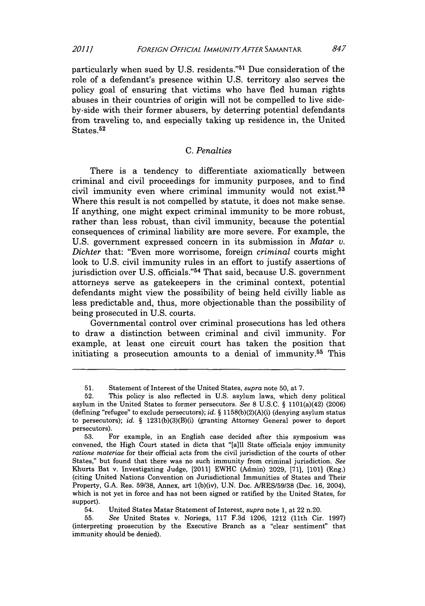particularly when sued **by U.S.** residents."5' Due consideration of the role of a defendant's presence within **U.S.** territory also serves the policy goal of ensuring that victims who have fled human rights abuses in their countries of origin will not be compelled to live sideby-side with their former abusers, **by** deterring potential defendants from traveling to, and especially taking up residence in, the United States.<sup>52</sup>

### *C. Penalties*

There is a tendency to differentiate axiomatically between criminal and civil proceedings for immunity purposes, and to find civil immunity even where criminal immunity would not exist.53 Where this result is not compelled **by** statute, it does not make sense. If anything, one might expect criminal immunity to be more robust, rather than less robust, than civil immunity, because the potential consequences of criminal liability are more severe. For example, the **U.S.** government expressed concern in its submission in *Matar v. Dichter* that: "Even more worrisome, foreign *criminal* courts might look to **U.S.** civil immunity rules in an effort to justify assertions of jurisdiction over **U.S.** officials."54 That said, because **U.S.** government attorneys serve as gatekeepers in the criminal context, potential defendants might view the possibility of being held civilly liable as less predictable and, thus, more objectionable than the possibility of being prosecuted in **U.S.** courts.

Governmental control over criminal prosecutions has led others to draw a distinction between criminal and civil immunity. For example, at least one circuit court has taken the position that initiating a prosecution amounts to a denial of immunity.<sup>55</sup> This

**<sup>51.</sup>** Statement of Interest of the United States, *supra* note **50,** at **7.**

**<sup>52.</sup>** This policy is also reflected in **U.S.** asylum laws, which deny political asylum in the United States to former persecutors. *See* **8 U.S.C. §** 1101(a)(42) **(2006)** (defining "refugee" to exclude persecutors); *id.* **§** 1158(b)(2)(A)(i) (denying asylum status to persecutors); *id.* **§** 1231(b)(3)(B)(i) (granting Attorney General power to deport persecutors).

**<sup>53.</sup>** For example, in an English case decided after this symposium was convened, the High Court stated in dicta that "[a]ll State officials enjoy immunity *ratione materiae* for their official acts from the civil jurisdiction of the courts of other States," but found that there was no such immunity from criminal jurisdiction. *See* Khurts Bat v. Investigating Judge, [2011] EWHC (Admin) **2029, [71], [101)** (Eng.) (citing United Nations Convention on Jurisdictional Immunities of States and Their Property, **G.A.** Res. **59/38,** Annex, art 1(b)(iv), **U.N.** Doc. **A/RES/59/38** (Dec. **16,** 2004), which is not yet in force and has not been signed or ratified **by** the United States, for support).

<sup>54.</sup> United States Matar Statement of Interest, *supra* note **1,** at 22 n.20.

**<sup>55.</sup>** *See* United States v. Noriega, **117 F.3d 1206,** 1212 (11th Cir. **1997)** (interpreting prosecution **by** the Executive Branch as a "clear sentiment" that immunity should be denied).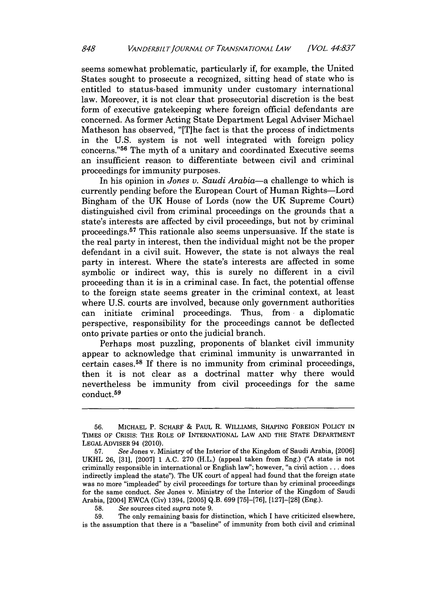seems somewhat problematic, particularly if, for example, the United States sought to prosecute a recognized, sitting head of state who is entitled to status-based immunity under customary international law. Moreover, it is not clear that prosecutorial discretion is the best form of executive gatekeeping where foreign official defendants are concerned. As former Acting State Department Legal Adviser Michael Matheson has observed, "[Tihe fact is that the process of indictments in the **U.S.** system is not well integrated with foreign policy concerns."56 The myth of a unitary and coordinated Executive seems an insufficient reason to differentiate between civil and criminal proceedings for immunity purposes.

In his opinion in *Jones v. Saudi Arabia-a* challenge to which is currently pending before the European Court of Human Rights-Lord Bingham of the **UK** House of Lords (now the **UK** Supreme Court) distinguished civil from criminal proceedings on the grounds that a state's interests are affected **by** civil proceedings, but not **by** criminal proceedings.57 This rationale also seems unpersuasive. If the state is the real party in interest, then the individual might not be the proper defendant in a civil suit. However, the state is not always the real party in interest. Where the state's interests are affected in some symbolic or indirect way, this is surely no different in a civil proceeding than it is in a criminal case. In fact, the potential offense to the foreign state seems greater in the criminal context, at least where **U.S.** courts are involved, because only government authorities can initiate criminal proceedings. Thus, from a diplomatic perspective, responsibility for the proceedings cannot be deflected onto private parties or onto the judicial branch.

Perhaps most puzzling, proponents of blanket civil immunity appear to acknowledge that criminal immunity is unwarranted in certain cases.58 If there is no immunity from criminal proceedings, then it is not clear as a doctrinal matter why there would nevertheless be immunity from civil proceedings for the same conduct.<sup>59</sup>

**<sup>56.</sup> MICHAEL** P. SCHARF *&* PAUL R. WILLIAMS, **SHAPING FOREIGN** POLICY **IN** TIMES OF CRISIS: THE ROLE OF INTERNATIONAL LAw **AND** THE **STATE** DEPARTMENT **LEGAL** ADVISER 94 (2010).

**<sup>57.</sup>** *See* Jones v. Ministry of the Interior of the Kingdom of Saudi Arabia, **[2006] UKHL 26, [31], [2007] 1 A.C. 270** (H.L.) (appeal taken from Eng.) **("A** state is not criminally responsible in international or English law"; however, "a civil action **...** does indirectly implead the state"). The **UK** court of appeal had found that the foreign state was no more "impleaded" **by** civil proceedings for torture than **by** criminal proceedings for the same conduct. *See* Jones v. Ministry of the Interior of the Kingdom of Saudi Arabia, [2004] **EWCA** (Civ) 1394, **[2005] Q.B. 699 [75]-[76], [127]-[28]** (Eng.).

**<sup>58.</sup>** *See* sources cited *supra* note **9.**

**<sup>59.</sup>** The only remaining basis for distinction, which **I** have criticized elsewhere, is the assumption that there is a "baseline" of immunity from both civil and criminal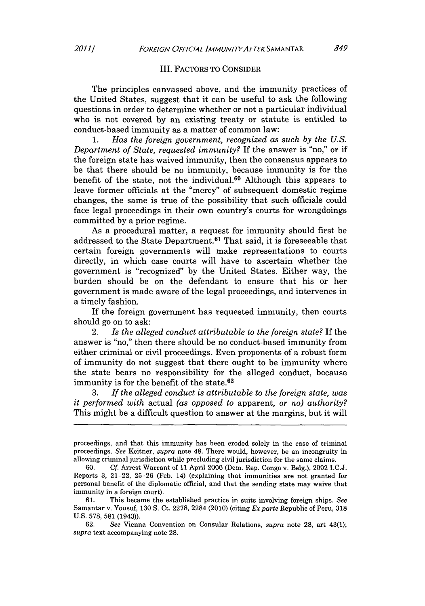#### III. FACTORS TO **CONSIDER**

The principles canvassed above, and the immunity practices of the United States, suggest that it can be useful to ask the following questions in order to determine whether or not a particular individual who is not covered **by** an existing treaty or statute is entitled to conduct-based immunity as a matter of common law:

**1.** *Has the foreign government, recognized as such by the U.S. Department of State, requested immunity?* **If** the answer is "no," or if the foreign state has waived immunity, then the consensus appears to be that there should be no immunity, because immunity is for the benefit of the state, not the individual.<sup>60</sup> Although this appears to leave former officials at the "mercy" of subsequent domestic regime changes, the same is true of the possibility that such officials could face legal proceedings in their own country's courts for wrongdoings committed **by** a prior regime.

As a procedural matter, a request for immunity should first be addressed to the State Department.<sup>61</sup> That said, it is foreseeable that certain foreign governments will make representations to courts directly, in which case courts will have to ascertain whether the government is "recognized" **by** the United States. Either way, the burden should be on the defendant to ensure that his or her government is made aware of the legal proceedings, and intervenes in a timely fashion.

**If** the foreign government has requested immunity, then courts should go on to ask:

2. *Is the alleged conduct attributable to the foreign state?* **If** the answer is "no," then there should be no conduct-based immunity from either criminal or civil proceedings. Even proponents of a robust form of immunity do not suggest that there ought to be immunity where the state bears no responsibility for the alleged conduct, because immunity is for the benefit of the state.<sup>62</sup>

**3.** *If the alleged conduct is attributable to the foreign state, was it performed with* actual *(as opposed to* apparent, or *no) authority?* This might be a difficult question to answer at the margins, but it will

proceedings, and that this immunity has been eroded solely in the case of criminal proceedings. *See* Keitner, *supra* note 48. There would, however, be an incongruity in allowing criminal jurisdiction while precluding civil jurisdiction for the same claims.

**<sup>60.</sup>** *Cf.* Arrest Warrant of **11** April 2000 (Dem. Rep. Congo v. Belg.), 2002 **I.C.J.** Reports **3,** 21-22, **25-26** (Feb. 14) (explaining that immunities are not granted for personal benefit of the diplomatic official, and that the sending state may waive that immunity in a foreign court).

**<sup>61.</sup>** This became the established practice in suits involving foreign ships. *See* Samantar v. Yousuf, **130 S.** Ct. **2278,** 2284 (2010) (citing *Ex parte* Republic of Peru, **318 U.S. 578, 581** (1943)).

**<sup>62.</sup>** *See* Vienna Convention on Consular Relations, *supra* note **28,** art 43(1); *supra* text accompanying note **28.**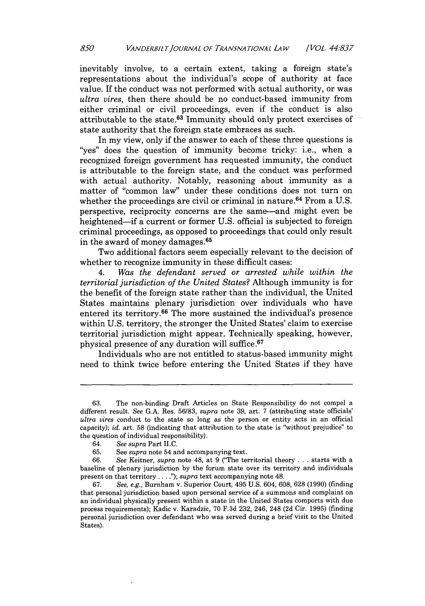inevitably involve, to a certain extent, taking a foreign state's representations about the individual's scope of authority at face value. If the conduct was not performed with actual authority, or was *ultra vires,* then there should be no conduct-based immunity from either criminal or civil proceedings, even if the conduct is also attributable to the state. 63 Immunity should only protect exercises of state authority that the foreign state embraces as such.

In my view, only if the answer to each of these three questions is "yes" does the question of immunity become tricky: i.e., when a recognized foreign government has requested immunity, the conduct is attributable to the foreign state, and the conduct was performed with actual authority. Notably, reasoning about immunity as a matter of "common law" under these conditions does not turn on whether the proceedings are civil or criminal in nature. 64 From a **U.S.** perspective, reciprocity concerns are the same-and might even be heightened-if a current or former **U.S.** official is subjected to foreign criminal proceedings, as opposed to proceedings that could only result in the award of money damages.65

Two additional factors seem especially relevant to the decision of whether to recognize immunity in these difficult cases:

4. *Was the defendant served or arrested while within the territorial jurisdiction of the United States?* Although immunity is for the benefit of the foreign state rather than the individual, the United States maintains plenary jurisdiction over individuals who have entered its territory. 66 The more sustained the individual's presence within U.S. territory, the stronger the United States' claim to exercise territorial jurisdiction might appear. Technically speaking, however, physical presence of any duration will **suffice. <sup>67</sup>**

Individuals who are not entitled to status-based immunity might need to think twice before entering the United States if they have

**<sup>63.</sup>** The non-binding Draft Articles on State Responsibility do not compel a different result. *See* **G.A.** Res. **56/83,** *supra* note **39,** art. **7** (attributing state officials' *ultra vires* conduct to the state so long as the person or entity acts in an official capacity); *id.* art. **58** (indicating that attribution to the state is "without prejudice" to the question of individual responsibility).<br>64. See supra Part II.C.

<sup>64.</sup> *See supra* Part I.C.

**<sup>65.</sup>** See *supra* note 54 and accompanying text.

**<sup>66.</sup>** *See* Keitner, *supra* note 48, at **9** ("The territorial theory **...** starts with a baseline of plenary jurisdiction **by** the forum state over its territory and individuals present on that territory. **. .** *."); supra* text accompanying note 48.

**<sup>67.</sup>** *See, e.g.,* Burnham v. Superior Court, 495 **U.S.** 604, **608, 628 (1990)** (finding that personal jurisdiction based upon personal service of a summons and complaint on an individual physically present within a state in the United States comports with due process requirements); Kadic v. Karadzic, **70 F.3d 232,** 246, 248 **(2d** Cir. **1995)** (finding personal jurisdiction over defendant who was served during a brief visit to the United States).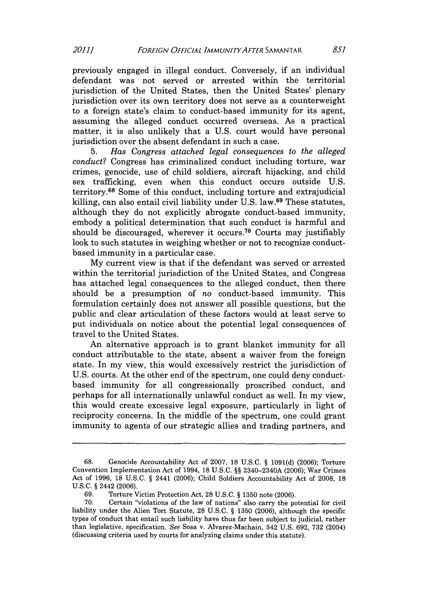previously engaged in illegal conduct. Conversely, if an individual defendant was not served or arrested within the territorial jurisdiction of the United States, then the United States' plenary jurisdiction over its own territory does not serve as a counterweight to a foreign state's claim to conduct-based immunity for its agent, assuming the alleged conduct occurred overseas. As a practical matter, it is also unlikely that a **U.S.** court would have personal jurisdiction over the absent defendant in such a case.

**5.** *Has Congress attached legal consequences to the alleged conduct?* Congress has criminalized conduct including torture, war crimes, genocide, use of child soldiers, aircraft hijacking, and child sex trafficking, even when this conduct occurs outside **U.S.** territory.68 Some of this conduct, including torture and extrajudicial killing, can also entail civil liability under **U.S.** law. 69 These statutes, although they do not explicitly abrogate conduct-based immunity, embody a political determination that such conduct is harmful and should be discouraged, wherever it occurs.<sup>70</sup> Courts may justifiably look to such statutes in weighing whether or not to recognize conductbased immunity in a particular case.

**My** current view is that if the defendant was served or arrested within the territorial jurisdiction of the United States, and Congress has attached legal consequences to the alleged conduct, then there should be a presumption of *no* conduct-based immunity. This formulation certainly does not answer all possible questions, but the public and clear articulation of these factors would at least serve to put individuals on notice about the potential legal consequences of travel to the United States.

An alternative approach is to grant blanket immunity for all conduct attributable to the state, absent a waiver from the foreign state. In my view, this would excessively restrict the jurisdiction of **U.S.** courts. At the other end of the spectrum, one could deny conductbased immunity for all congressionally proscribed conduct, and perhaps for all internationally unlawful conduct as well. In my view, this would create excessive legal exposure, particularly in light of reciprocity concerns. In the middle of the spectrum, one could grant immunity to agents of our strategic allies and trading partners, and

**<sup>68.</sup>** Genocide Accountability Act of **2007, 18 U.S.C. § 1091(d) (2006);** Torture Convention Implementation Act of 1994, **18 U.S.C. §§** 2340-2340A **(2006);** War Crimes Act of **1996, 18 U.S.C. §** 2441 **(2006);** Child Soldiers Accountability Act of **2008, 18 U.S.C. §** 2442 **(2006).**

**<sup>69.</sup>** Torture Victim Protection Act, **28 U.S.C. § 1350** note **(2006).**

**<sup>70.</sup>** Certain "violations of the law of nations" also carry the potential for civil liability under the Alien Tort Statute, **28 U.S.C. § 1350 (2006),** although the specific types of conduct that entail such liability have thus far been subject to judicial, rather than legislative, specification. See Sosa v. Alvarez-Machain, 542 **U.S. 692, 732** (2004) (discussing criteria used **by** courts for analyzing claims under this statute).